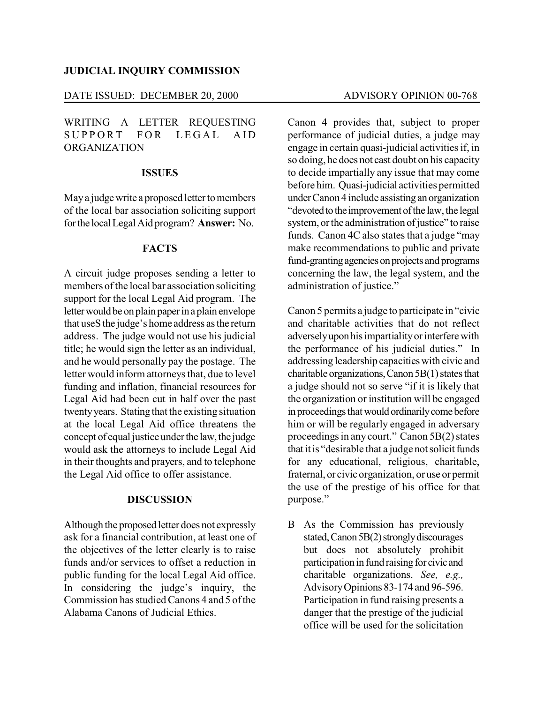#### **JUDICIAL INQUIRY COMMISSION**

# DATE ISSUED: DECEMBER 20, 2000 ADVISORY OPINION 00-768

WRITING A LETTER REQUESTING SUPPORT FOR LEGAL AID ORGANIZATION

### **ISSUES**

May a judge write a proposed letter to members of the local bar association soliciting support forthe localLegal Aid program? **Answer:** No.

#### **FACTS**

A circuit judge proposes sending a letter to members of the local bar association soliciting support for the local Legal Aid program. The letter would be on plain paper in a plain envelope that useS the judge's home address asthe return address. The judge would not use his judicial title; he would sign the letter as an individual, and he would personally pay the postage. The letter would inform attorneys that, due to level funding and inflation, financial resources for Legal Aid had been cut in half over the past twentyyears. Stating that the existing situation at the local Legal Aid office threatens the concept of equal justice underthe law,the judge would ask the attorneys to include Legal Aid in their thoughts and prayers, and to telephone the Legal Aid office to offer assistance.

#### **DISCUSSION**

Although the proposed letter does not expressly ask for a financial contribution, at least one of the objectives of the letter clearly is to raise funds and/or services to offset a reduction in public funding for the local Legal Aid office. In considering the judge's inquiry, the Commission has studied Canons 4 and 5 of the Alabama Canons of Judicial Ethics.

Canon 4 provides that, subject to proper performance of judicial duties, a judge may engage in certain quasi-judicial activities if, in so doing, he does not cast doubt on his capacity to decide impartially any issue that may come before him. Quasi-judicial activities permitted underCanon 4 include assistingan organization "devoted to the improvement of the law, the legal" system, or the administration of justice" to raise funds. Canon 4C also states that a judge "may make recommendations to public and private fund-granting agencies on projects and programs concerning the law, the legal system, and the administration of justice."

Canon 5 permits a judge to participate in "civic and charitable activities that do not reflect adversely upon his impartiality or interfere with the performance of his judicial duties." In addressing leadership capacitieswith civic and charitable organizations, Canon  $5B(1)$  states that a judge should not so serve "if it is likely that the organization or institution will be engaged in proceedings that would ordinarily come before him or will be regularly engaged in adversary proceedings in any court." Canon 5B(2) states that it is "desirable that a judge not solicit funds" for any educational, religious, charitable, fraternal, or civic organization, or use or permit the use of the prestige of his office for that purpose."

B As the Commission has previously stated, Canon 5B(2) strongly discourages but does not absolutely prohibit participation in fund raising for civic and charitable organizations. *See, e.g.,* AdvisoryOpinions 83-174 and 96-596. Participation in fund raising presents a danger that the prestige of the judicial office will be used for the solicitation